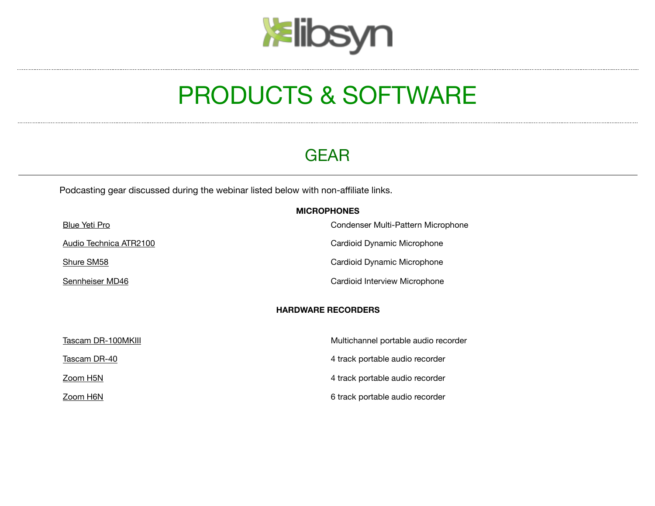# **kelibsyn**

## PRODUCTS & SOFTWARE

## GEAR

Podcasting gear discussed during the webinar listed below with non-affiliate links.

|                        | <b>MICROPHONES</b>                   |
|------------------------|--------------------------------------|
| <b>Blue Yeti Pro</b>   | Condenser Multi-Pattern Microphone   |
| Audio Technica ATR2100 | Cardioid Dynamic Microphone          |
| Shure SM58             | Cardioid Dynamic Microphone          |
| Sennheiser MD46        | Cardioid Interview Microphone        |
|                        | <b>HARDWARE RECORDERS</b>            |
| Tascam DR-100MKIII     | Multichannel portable audio recorder |
| Tascam DR-40           | 4 track portable audio recorder      |
| Zoom H5N               | 4 track portable audio recorder      |
| Zoom H6N               | 6 track portable audio recorder      |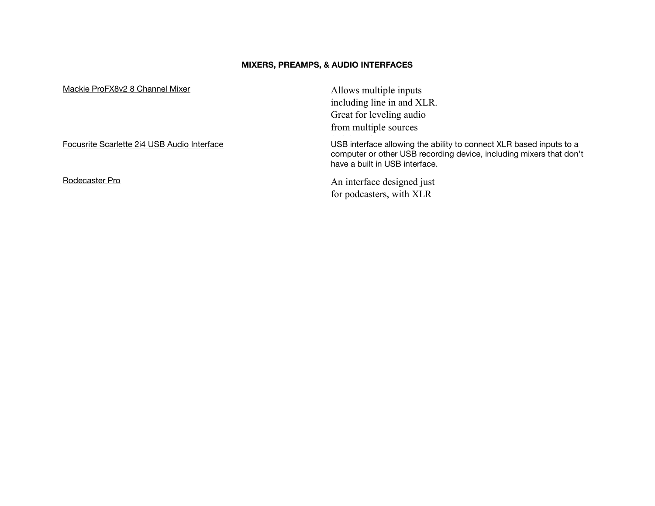#### **MIXERS, PREAMPS, & AUDIO INTERFACES**

| Mackie ProFX8v2 8 Channel Mixer             | Allows multiple inputs                                                                                                                                                       |  |
|---------------------------------------------|------------------------------------------------------------------------------------------------------------------------------------------------------------------------------|--|
|                                             | including line in and XLR.                                                                                                                                                   |  |
|                                             | Great for leveling audio                                                                                                                                                     |  |
|                                             | from multiple sources                                                                                                                                                        |  |
| Focusrite Scarlette 2i4 USB Audio Interface | USB interface allowing the ability to connect XLR based inputs to a<br>computer or other USB recording device, including mixers that don't<br>have a built in USB interface. |  |
| Rodecaster Pro                              | An interface designed just                                                                                                                                                   |  |
|                                             | for podcasters, with XLR                                                                                                                                                     |  |
|                                             |                                                                                                                                                                              |  |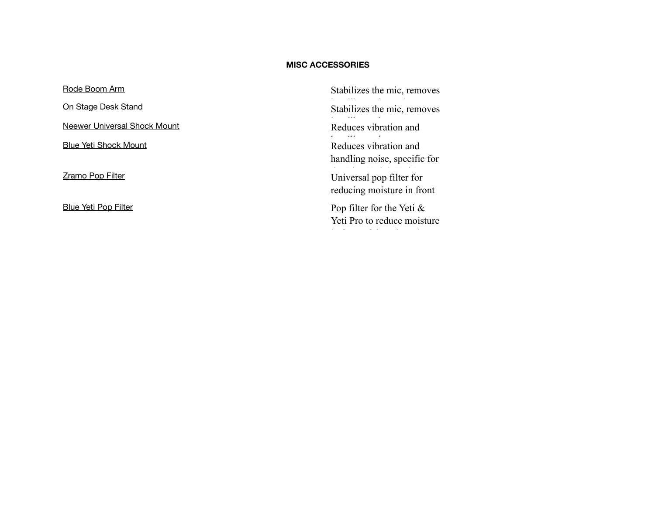#### **MISC ACCESSORIES**

| Stabilizes the mic, removes                                 |
|-------------------------------------------------------------|
| Stabilizes the mic, removes                                 |
| Reduces vibration and                                       |
| Reduces vibration and<br>handling noise, specific for       |
| Universal pop filter for<br>reducing moisture in front      |
| Pop filter for the Yeti $\&$<br>Yeti Pro to reduce moisture |
|                                                             |